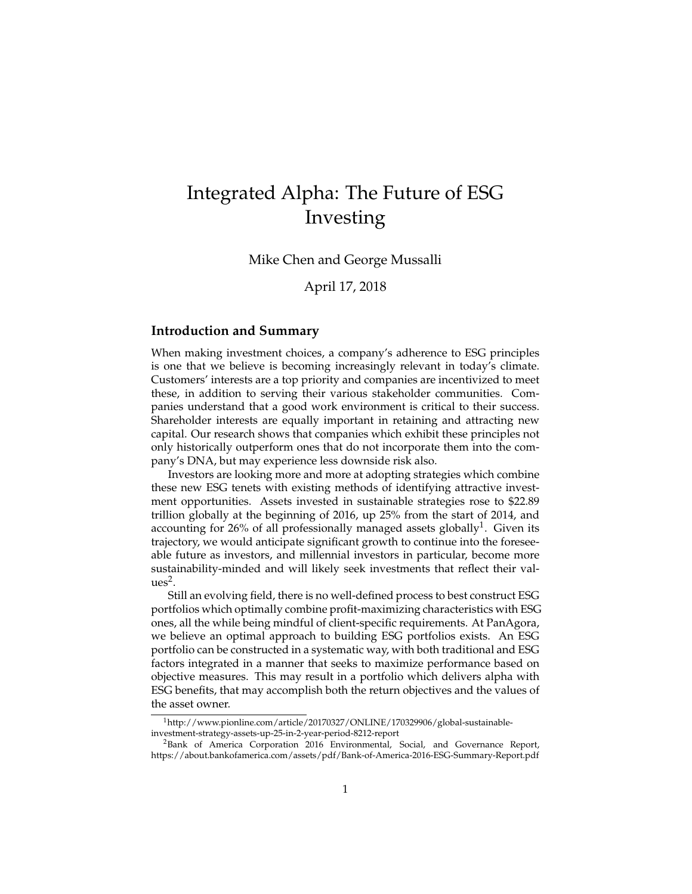# Integrated Alpha: The Future of ESG Investing

Mike Chen and George Mussalli

April 17, 2018

### **Introduction and Summary**

When making investment choices, a company's adherence to ESG principles is one that we believe is becoming increasingly relevant in today's climate. Customers' interests are a top priority and companies are incentivized to meet these, in addition to serving their various stakeholder communities. Companies understand that a good work environment is critical to their success. Shareholder interests are equally important in retaining and attracting new capital. Our research shows that companies which exhibit these principles not only historically outperform ones that do not incorporate them into the company's DNA, but may experience less downside risk also.

Investors are looking more and more at adopting strategies which combine these new ESG tenets with existing methods of identifying attractive investment opportunities. Assets invested in sustainable strategies rose to \$22.89 trillion globally at the beginning of 2016, up 25% from the start of 2014, and accounting for 26% of all professionally managed assets globally<sup>1</sup>. Given its trajectory, we would anticipate significant growth to continue into the foreseeable future as investors, and millennial investors in particular, become more sustainability-minded and will likely seek investments that reflect their val $ues<sup>2</sup>$ .

Still an evolving field, there is no well-defined process to best construct ESG portfolios which optimally combine profit-maximizing characteristics with ESG ones, all the while being mindful of client-specific requirements. At PanAgora, we believe an optimal approach to building ESG portfolios exists. An ESG portfolio can be constructed in a systematic way, with both traditional and ESG factors integrated in a manner that seeks to maximize performance based on objective measures. This may result in a portfolio which delivers alpha with ESG benefits, that may accomplish both the return objectives and the values of the asset owner.

<sup>1</sup>http://www.pionline.com/article/20170327/ONLINE/170329906/global-sustainableinvestment-strategy-assets-up-25-in-2-year-period-8212-report

<sup>&</sup>lt;sup>2</sup>Bank of America Corporation 2016 Environmental, Social, and Governance Report, https://about.bankofamerica.com/assets/pdf/Bank-of-America-2016-ESG-Summary-Report.pdf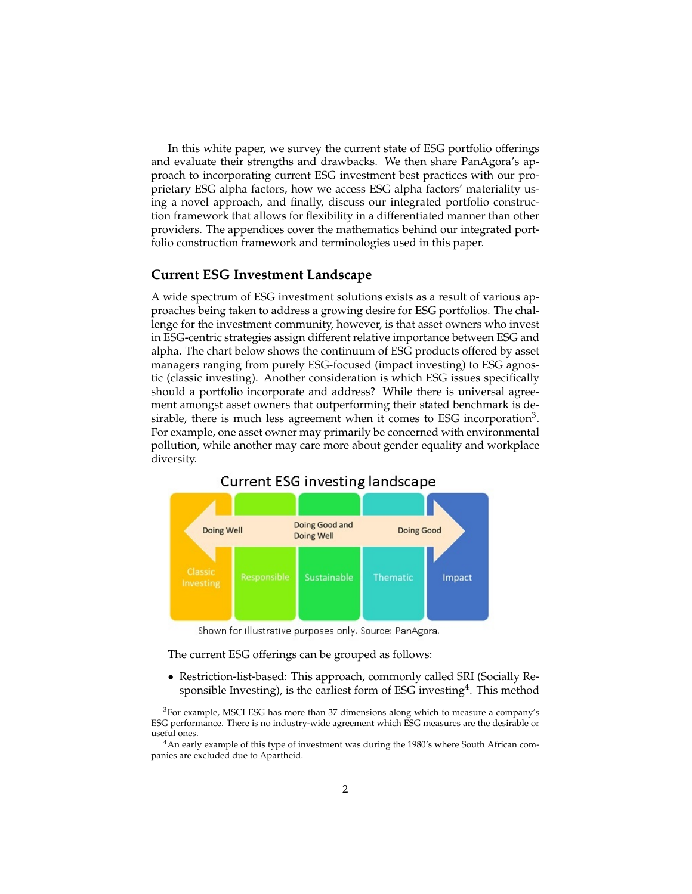In this white paper, we survey the current state of ESG portfolio offerings and evaluate their strengths and drawbacks. We then share PanAgora's approach to incorporating current ESG investment best practices with our proprietary ESG alpha factors, how we access ESG alpha factors' materiality using a novel approach, and finally, discuss our integrated portfolio construction framework that allows for flexibility in a differentiated manner than other providers. The appendices cover the mathematics behind our integrated portfolio construction framework and terminologies used in this paper.

### **Current ESG Investment Landscape**

A wide spectrum of ESG investment solutions exists as a result of various approaches being taken to address a growing desire for ESG portfolios. The challenge for the investment community, however, is that asset owners who invest in ESG-centric strategies assign different relative importance between ESG and alpha. The chart below shows the continuum of ESG products offered by asset managers ranging from purely ESG-focused (impact investing) to ESG agnostic (classic investing). Another consideration is which ESG issues specifically should a portfolio incorporate and address? While there is universal agreement amongst asset owners that outperforming their stated benchmark is desirable, there is much less agreement when it comes to ESG incorporation<sup>3</sup>. For example, one asset owner may primarily be concerned with environmental pollution, while another may care more about gender equality and workplace diversity.



## Current ESG investing landscape

Shown for illustrative purposes only. Source: PanAgora.

The current ESG offerings can be grouped as follows:

• Restriction-list-based: This approach, commonly called SRI (Socially Responsible Investing), is the earliest form of ESG investing<sup>4</sup>. This method

 $3$ For example, MSCI ESG has more than 37 dimensions along which to measure a company's ESG performance. There is no industry-wide agreement which ESG measures are the desirable or useful ones.

<sup>&</sup>lt;sup>4</sup>An early example of this type of investment was during the 1980's where South African companies are excluded due to Apartheid.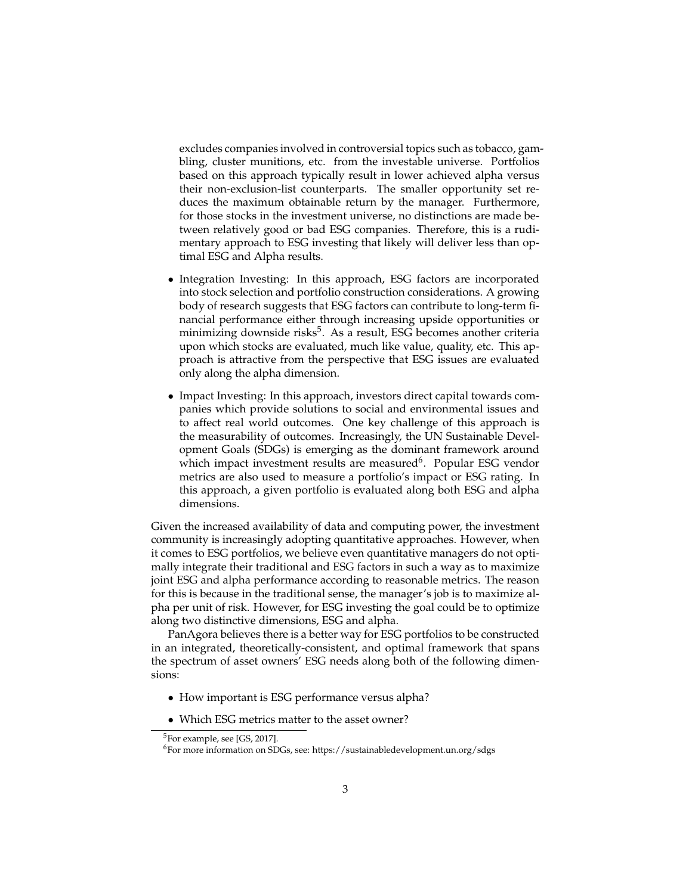excludes companies involved in controversial topics such as tobacco, gambling, cluster munitions, etc. from the investable universe. Portfolios based on this approach typically result in lower achieved alpha versus their non-exclusion-list counterparts. The smaller opportunity set reduces the maximum obtainable return by the manager. Furthermore, for those stocks in the investment universe, no distinctions are made between relatively good or bad ESG companies. Therefore, this is a rudimentary approach to ESG investing that likely will deliver less than optimal ESG and Alpha results.

- Integration Investing: In this approach, ESG factors are incorporated into stock selection and portfolio construction considerations. A growing body of research suggests that ESG factors can contribute to long-term financial performance either through increasing upside opportunities or minimizing downside risks<sup>5</sup>. As a result, ESG becomes another criteria upon which stocks are evaluated, much like value, quality, etc. This approach is attractive from the perspective that ESG issues are evaluated only along the alpha dimension.
- Impact Investing: In this approach, investors direct capital towards companies which provide solutions to social and environmental issues and to affect real world outcomes. One key challenge of this approach is the measurability of outcomes. Increasingly, the UN Sustainable Development Goals (SDGs) is emerging as the dominant framework around which impact investment results are measured<sup>6</sup>. Popular ESG vendor metrics are also used to measure a portfolio's impact or ESG rating. In this approach, a given portfolio is evaluated along both ESG and alpha dimensions.

Given the increased availability of data and computing power, the investment community is increasingly adopting quantitative approaches. However, when it comes to ESG portfolios, we believe even quantitative managers do not optimally integrate their traditional and ESG factors in such a way as to maximize joint ESG and alpha performance according to reasonable metrics. The reason for this is because in the traditional sense, the manager's job is to maximize alpha per unit of risk. However, for ESG investing the goal could be to optimize along two distinctive dimensions, ESG and alpha.

PanAgora believes there is a better way for ESG portfolios to be constructed in an integrated, theoretically-consistent, and optimal framework that spans the spectrum of asset owners' ESG needs along both of the following dimensions:

- How important is ESG performance versus alpha?
- Which ESG metrics matter to the asset owner?

<sup>5</sup>For example, see [GS, 2017].

<sup>6</sup>For more information on SDGs, see: https://sustainabledevelopment.un.org/sdgs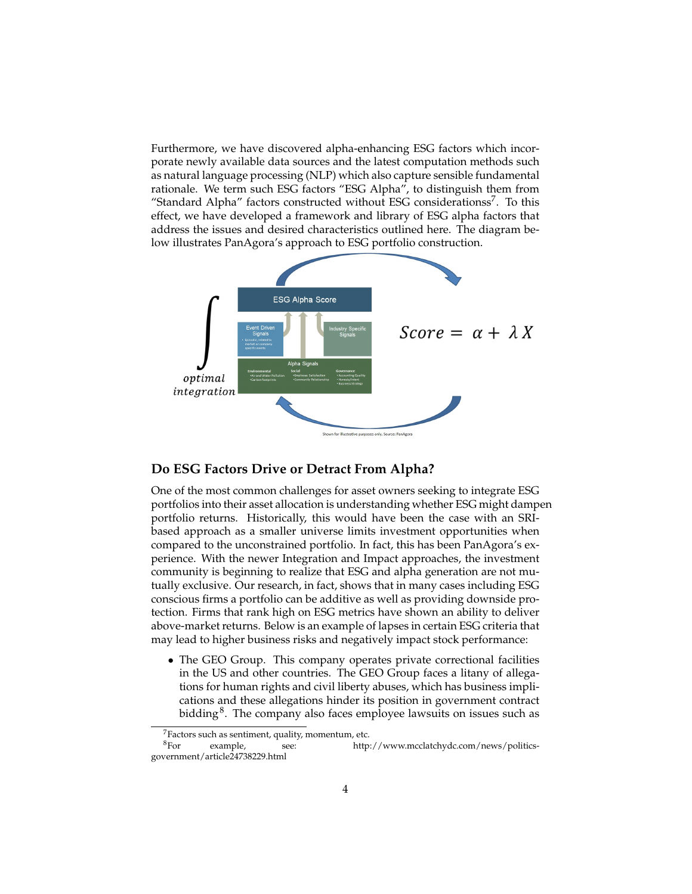Furthermore, we have discovered alpha-enhancing ESG factors which incorporate newly available data sources and the latest computation methods such as natural language processing (NLP) which also capture sensible fundamental rationale. We term such ESG factors "ESG Alpha", to distinguish them from "Standard Alpha" factors constructed without ESG considerationss<sup>7</sup>. To this effect, we have developed a framework and library of ESG alpha factors that address the issues and desired characteristics outlined here. The diagram below illustrates PanAgora's approach to ESG portfolio construction.



## **Do ESG Factors Drive or Detract From Alpha?**

One of the most common challenges for asset owners seeking to integrate ESG portfolios into their asset allocation is understanding whether ESG might dampen portfolio returns. Historically, this would have been the case with an SRIbased approach as a smaller universe limits investment opportunities when compared to the unconstrained portfolio. In fact, this has been PanAgora's experience. With the newer Integration and Impact approaches, the investment community is beginning to realize that ESG and alpha generation are not mutually exclusive. Our research, in fact, shows that in many cases including ESG conscious firms a portfolio can be additive as well as providing downside protection. Firms that rank high on ESG metrics have shown an ability to deliver above-market returns. Below is an example of lapses in certain ESG criteria that may lead to higher business risks and negatively impact stock performance:

• The GEO Group. This company operates private correctional facilities in the US and other countries. The GEO Group faces a litany of allegations for human rights and civil liberty abuses, which has business implications and these allegations hinder its position in government contract bidding $^8$ . The company also faces employee lawsuits on issues such as

 ${}^{7}$ Factors such as sentiment, quality, momentum, etc.<br> ${}^{8}$ For example, see: http:

see: http://www.mcclatchydc.com/news/politicsgovernment/article24738229.html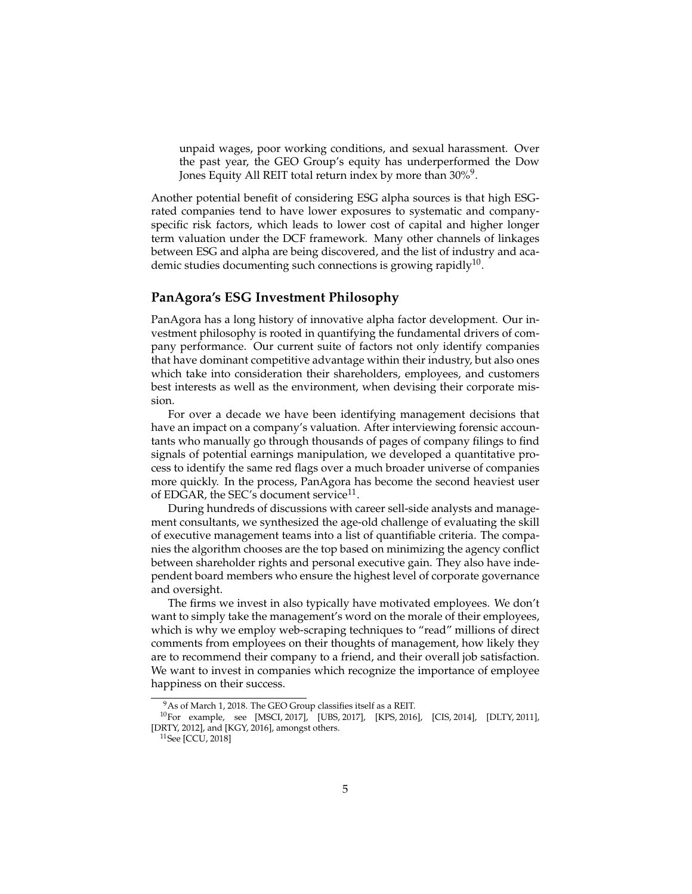unpaid wages, poor working conditions, and sexual harassment. Over the past year, the GEO Group's equity has underperformed the Dow Jones Equity All REIT total return index by more than 30% $^9$ .

Another potential benefit of considering ESG alpha sources is that high ESGrated companies tend to have lower exposures to systematic and companyspecific risk factors, which leads to lower cost of capital and higher longer term valuation under the DCF framework. Many other channels of linkages between ESG and alpha are being discovered, and the list of industry and academic studies documenting such connections is growing rapidly<sup>10</sup>.

## **PanAgora's ESG Investment Philosophy**

PanAgora has a long history of innovative alpha factor development. Our investment philosophy is rooted in quantifying the fundamental drivers of company performance. Our current suite of factors not only identify companies that have dominant competitive advantage within their industry, but also ones which take into consideration their shareholders, employees, and customers best interests as well as the environment, when devising their corporate mission.

For over a decade we have been identifying management decisions that have an impact on a company's valuation. After interviewing forensic accountants who manually go through thousands of pages of company filings to find signals of potential earnings manipulation, we developed a quantitative process to identify the same red flags over a much broader universe of companies more quickly. In the process, PanAgora has become the second heaviest user of EDGAR, the SEC's document service $^{11}$ .

During hundreds of discussions with career sell-side analysts and management consultants, we synthesized the age-old challenge of evaluating the skill of executive management teams into a list of quantifiable criteria. The companies the algorithm chooses are the top based on minimizing the agency conflict between shareholder rights and personal executive gain. They also have independent board members who ensure the highest level of corporate governance and oversight.

The firms we invest in also typically have motivated employees. We don't want to simply take the management's word on the morale of their employees, which is why we employ web-scraping techniques to "read" millions of direct comments from employees on their thoughts of management, how likely they are to recommend their company to a friend, and their overall job satisfaction. We want to invest in companies which recognize the importance of employee happiness on their success.

<sup>&</sup>lt;sup>9</sup>As of March 1, 2018. The GEO Group classifies itself as a REIT.

<sup>10</sup>For example, see [MSCI, 2017], [UBS, 2017], [KPS, 2016], [CIS, 2014], [DLTY, 2011], [DRTY, 2012], and [KGY, 2016], amongst others.

<sup>11</sup>See [CCU, 2018]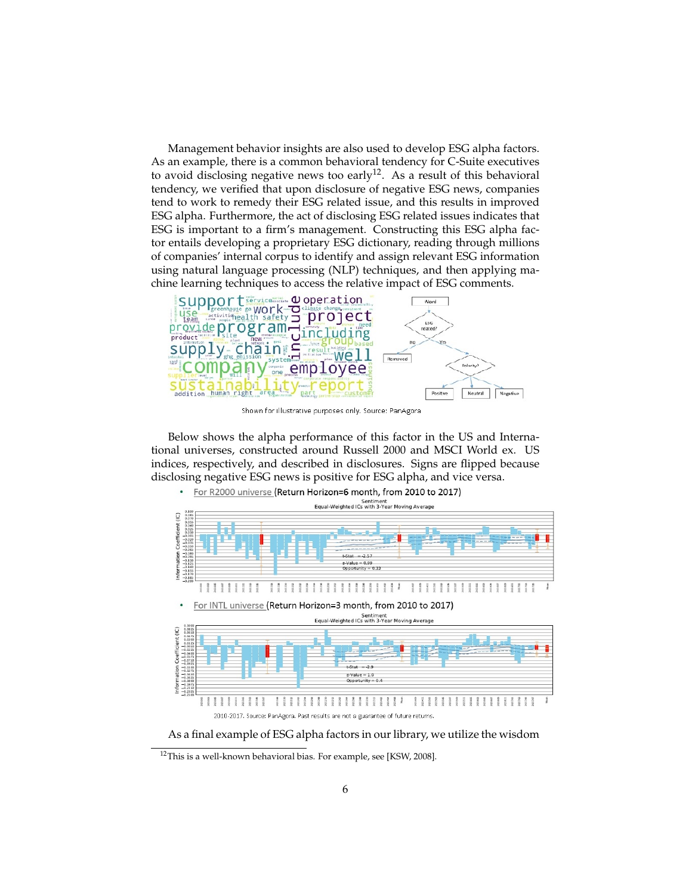Management behavior insights are also used to develop ESG alpha factors. As an example, there is a common behavioral tendency for C-Suite executives to avoid disclosing negative news too early<sup>12</sup>. As a result of this behavioral tendency, we verified that upon disclosure of negative ESG news, companies tend to work to remedy their ESG related issue, and this results in improved ESG alpha. Furthermore, the act of disclosing ESG related issues indicates that ESG is important to a firm's management. Constructing this ESG alpha factor entails developing a proprietary ESG dictionary, reading through millions of companies' internal corpus to identify and assign relevant ESG information using natural language processing (NLP) techniques, and then applying machine learning techniques to access the relative impact of ESG comments.



Shown for illustrative purposes only. Source: PanAgora

Below shows the alpha performance of this factor in the US and International universes, constructed around Russell 2000 and MSCI World ex. US indices, respectively, and described in disclosures. Signs are flipped because disclosing negative ESG news is positive for ESG alpha, and vice versa.



As a final example of ESG alpha factors in our library, we utilize the wisdom

<sup>&</sup>lt;sup>12</sup>This is a well-known behavioral bias. For example, see [KSW, 2008].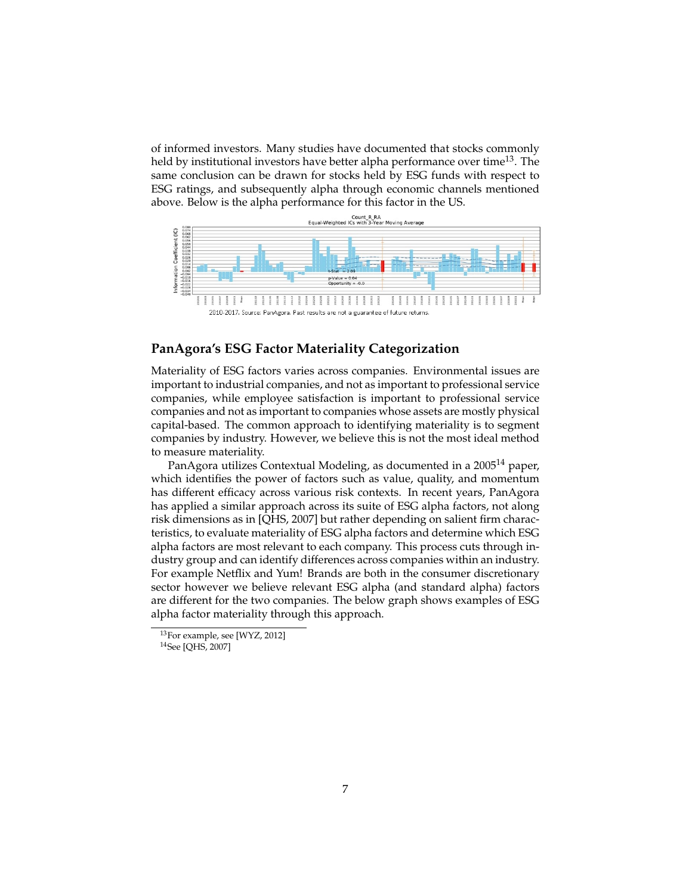of informed investors. Many studies have documented that stocks commonly held by institutional investors have better alpha performance over time<sup>13</sup>. The same conclusion can be drawn for stocks held by ESG funds with respect to ESG ratings, and subsequently alpha through economic channels mentioned above. Below is the alpha performance for this factor in the US.



## **PanAgora's ESG Factor Materiality Categorization**

Materiality of ESG factors varies across companies. Environmental issues are important to industrial companies, and not as important to professional service companies, while employee satisfaction is important to professional service companies and not as important to companies whose assets are mostly physical capital-based. The common approach to identifying materiality is to segment companies by industry. However, we believe this is not the most ideal method to measure materiality.

PanAgora utilizes Contextual Modeling, as documented in a 2005<sup>14</sup> paper, which identifies the power of factors such as value, quality, and momentum has different efficacy across various risk contexts. In recent years, PanAgora has applied a similar approach across its suite of ESG alpha factors, not along risk dimensions as in [QHS, 2007] but rather depending on salient firm characteristics, to evaluate materiality of ESG alpha factors and determine which ESG alpha factors are most relevant to each company. This process cuts through industry group and can identify differences across companies within an industry. For example Netflix and Yum! Brands are both in the consumer discretionary sector however we believe relevant ESG alpha (and standard alpha) factors are different for the two companies. The below graph shows examples of ESG alpha factor materiality through this approach.

<sup>13</sup>For example, see [WYZ, 2012]

<sup>14</sup>See [QHS, 2007]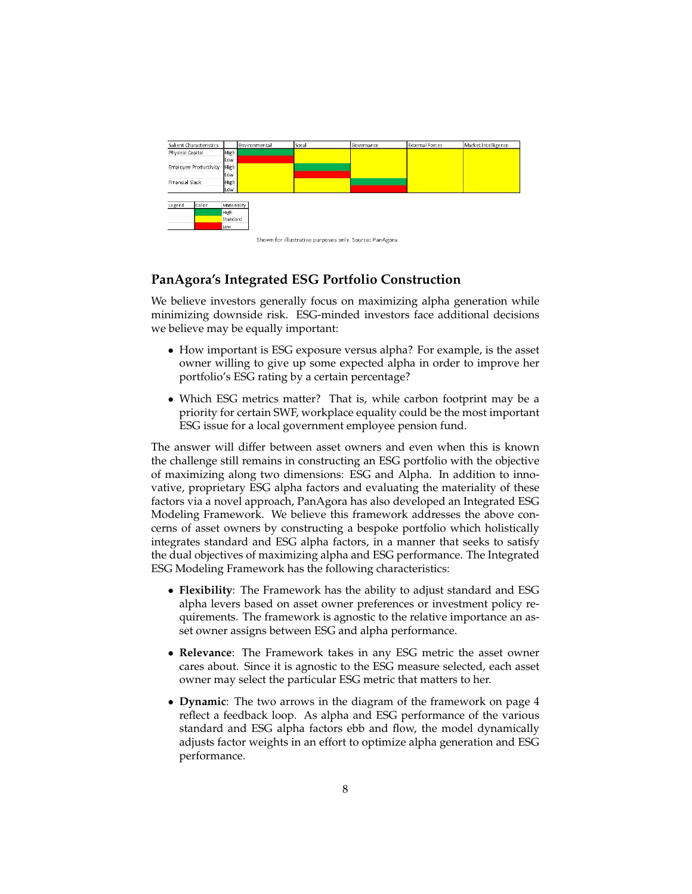

## **PanAgora's Integrated ESG Portfolio Construction**

We believe investors generally focus on maximizing alpha generation while minimizing downside risk. ESG-minded investors face additional decisions we believe may be equally important:

- How important is ESG exposure versus alpha? For example, is the asset owner willing to give up some expected alpha in order to improve her portfolio's ESG rating by a certain percentage?
- Which ESG metrics matter? That is, while carbon footprint may be a priority for certain SWF, workplace equality could be the most important ESG issue for a local government employee pension fund.

The answer will differ between asset owners and even when this is known the challenge still remains in constructing an ESG portfolio with the objective of maximizing along two dimensions: ESG and Alpha. In addition to innovative, proprietary ESG alpha factors and evaluating the materiality of these factors via a novel approach, PanAgora has also developed an Integrated ESG Modeling Framework. We believe this framework addresses the above concerns of asset owners by constructing a bespoke portfolio which holistically integrates standard and ESG alpha factors, in a manner that seeks to satisfy the dual objectives of maximizing alpha and ESG performance. The Integrated ESG Modeling Framework has the following characteristics:

- **Flexibility**: The Framework has the ability to adjust standard and ESG alpha levers based on asset owner preferences or investment policy requirements. The framework is agnostic to the relative importance an asset owner assigns between ESG and alpha performance.
- **Relevance**: The Framework takes in any ESG metric the asset owner cares about. Since it is agnostic to the ESG measure selected, each asset owner may select the particular ESG metric that matters to her.
- **Dynamic**: The two arrows in the diagram of the framework on page 4 reflect a feedback loop. As alpha and ESG performance of the various standard and ESG alpha factors ebb and flow, the model dynamically adjusts factor weights in an effort to optimize alpha generation and ESG performance.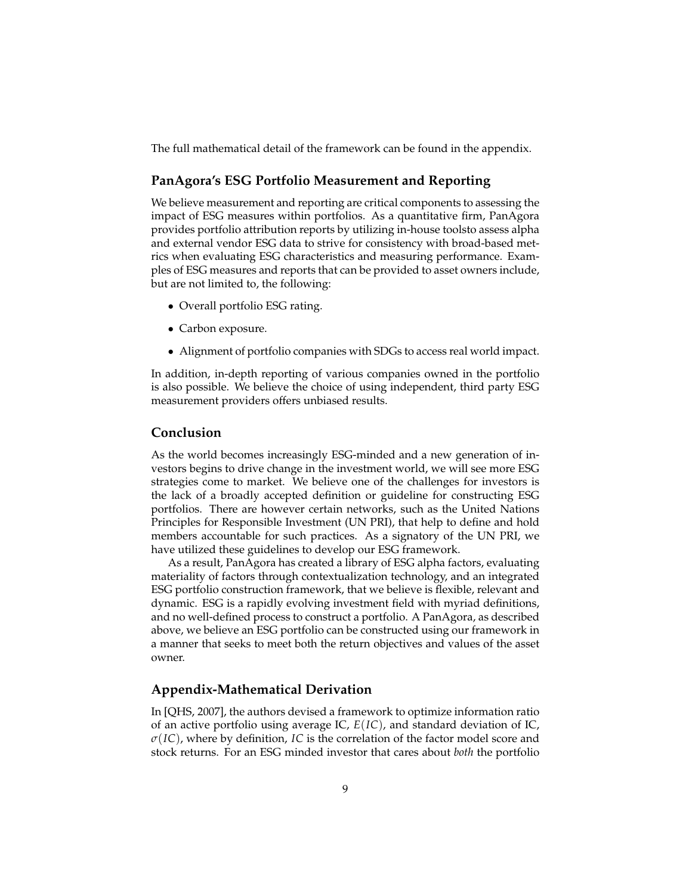The full mathematical detail of the framework can be found in the appendix.

## **PanAgora's ESG Portfolio Measurement and Reporting**

We believe measurement and reporting are critical components to assessing the impact of ESG measures within portfolios. As a quantitative firm, PanAgora provides portfolio attribution reports by utilizing in-house toolsto assess alpha and external vendor ESG data to strive for consistency with broad-based metrics when evaluating ESG characteristics and measuring performance. Examples of ESG measures and reports that can be provided to asset owners include, but are not limited to, the following:

- Overall portfolio ESG rating.
- Carbon exposure.
- Alignment of portfolio companies with SDGs to access real world impact.

In addition, in-depth reporting of various companies owned in the portfolio is also possible. We believe the choice of using independent, third party ESG measurement providers offers unbiased results.

#### **Conclusion**

As the world becomes increasingly ESG-minded and a new generation of investors begins to drive change in the investment world, we will see more ESG strategies come to market. We believe one of the challenges for investors is the lack of a broadly accepted definition or guideline for constructing ESG portfolios. There are however certain networks, such as the United Nations Principles for Responsible Investment (UN PRI), that help to define and hold members accountable for such practices. As a signatory of the UN PRI, we have utilized these guidelines to develop our ESG framework.

As a result, PanAgora has created a library of ESG alpha factors, evaluating materiality of factors through contextualization technology, and an integrated ESG portfolio construction framework, that we believe is flexible, relevant and dynamic. ESG is a rapidly evolving investment field with myriad definitions, and no well-defined process to construct a portfolio. A PanAgora, as described above, we believe an ESG portfolio can be constructed using our framework in a manner that seeks to meet both the return objectives and values of the asset owner.

## **Appendix-Mathematical Derivation**

In [QHS, 2007], the authors devised a framework to optimize information ratio of an active portfolio using average IC, *E*(*IC*), and standard deviation of IC, *σ*(*IC*), where by definition, *IC* is the correlation of the factor model score and stock returns. For an ESG minded investor that cares about *both* the portfolio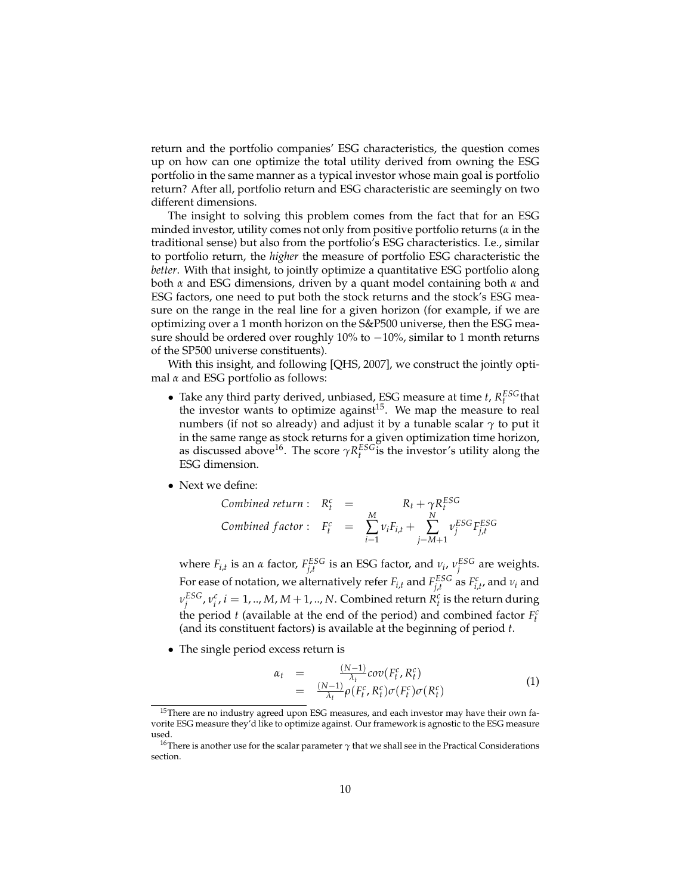return and the portfolio companies' ESG characteristics, the question comes up on how can one optimize the total utility derived from owning the ESG portfolio in the same manner as a typical investor whose main goal is portfolio return? After all, portfolio return and ESG characteristic are seemingly on two different dimensions.

The insight to solving this problem comes from the fact that for an ESG minded investor, utility comes not only from positive portfolio returns (*α* in the traditional sense) but also from the portfolio's ESG characteristics. I.e., similar to portfolio return, the *higher* the measure of portfolio ESG characteristic the *better*. With that insight, to jointly optimize a quantitative ESG portfolio along both *α* and ESG dimensions, driven by a quant model containing both *α* and ESG factors, one need to put both the stock returns and the stock's ESG measure on the range in the real line for a given horizon (for example, if we are optimizing over a 1 month horizon on the S&P500 universe, then the ESG measure should be ordered over roughly 10% to −10%, similar to 1 month returns of the SP500 universe constituents).

With this insight, and following [QHS, 2007], we construct the jointly optimal *α* and ESG portfolio as follows:

- Take any third party derived, unbiased, ESG measure at time *t*,  $R_t^{ESG}$  that the investor wants to optimize against<sup>15</sup>. We map the measure to real numbers (if not so already) and adjust it by a tunable scalar *γ* to put it in the same range as stock returns for a given optimization time horizon, as discussed above<sup>16</sup>. The score  $\gamma R_t^{ESG}$  is the investor's utility along the ESG dimension.
- Next we define:

$$
Combined return: \tR_t^c = \tR_t + \gamma R_t^{ESG}
$$
\n
$$
Combined factor: \tF_t^c = \sum_{i=1}^{M} v_i F_{i,t} + \sum_{j=M+1}^{N} v_j^{ESG} F_{j,t}^{ESG}
$$

where  $F_{i,t}$  is an *α* factor,  $F_{j,t}^{ESG}$  is an ESG factor, and  $v_i$ ,  $v_j^{ESG}$  are weights. For ease of notation, we alternatively refer  $F_{i,t}$  and  $F_{j,t}^{ESG}$  as  $F_{i,t'}^c$  and  $v_i$  and  $v_j^{ESG}$  ,  $v_i^c$  ,  $i=1$  , .., *M*, *M* + 1, .., *N* . Combined return  $R_t^c$  is the return during the period *t* (available at the end of the period) and combined factor  $F_t^c$ (and its constituent factors) is available at the beginning of period *t*.

• The single period excess return is

$$
\alpha_t = \frac{(N-1)}{\lambda_t} cov(F_t^c, R_t^c) \n= \frac{(N-1)}{\lambda_t} \rho(F_t^c, R_t^c) \sigma(F_t^c) \sigma(R_t^c)
$$
\n(1)

<sup>&</sup>lt;sup>15</sup>There are no industry agreed upon ESG measures, and each investor may have their own favorite ESG measure they'd like to optimize against. Our framework is agnostic to the ESG measure used.

<sup>&</sup>lt;sup>16</sup>There is another use for the scalar parameter  $\gamma$  that we shall see in the Practical Considerations section.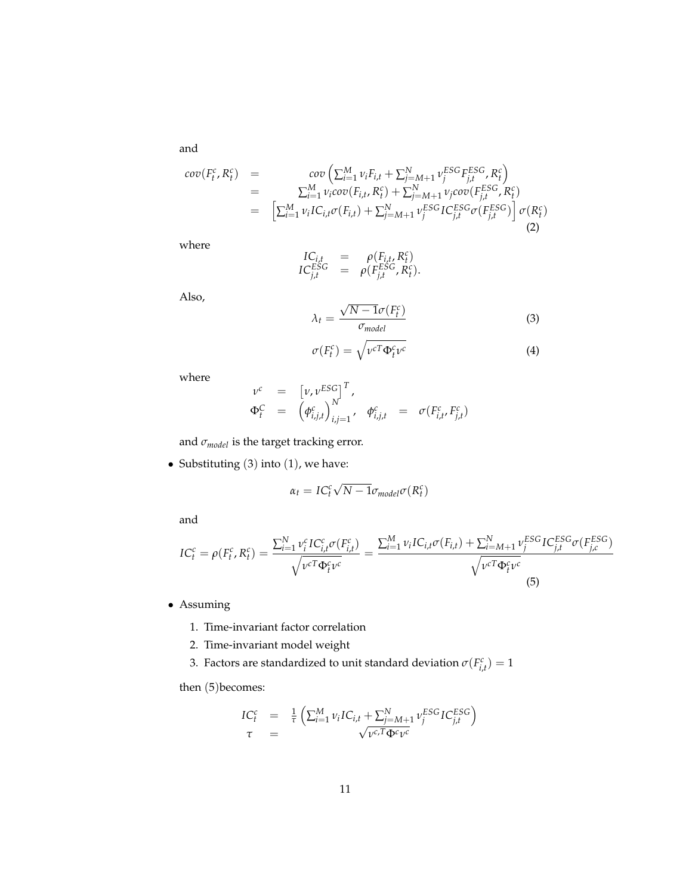and

$$
cov(F_t^c, R_t^c) = cov\left(\sum_{i=1}^M \nu_i F_{i,t} + \sum_{j=M+1}^N \nu_j^{ESG} F_{j,t}^{ESG}, R_t^c\right)
$$
  
\n
$$
= \sum_{i=1}^M \nu_i cov(F_{i,t}, R_t^c) + \sum_{j=M+1}^N \nu_j cov(F_{j,t}^{ESG}, R_t^c)
$$
  
\n
$$
= \left[\sum_{i=1}^M \nu_i IC_{i,t} \sigma(F_{i,t}) + \sum_{j=M+1}^N \nu_j^{ESG} IC_{j,t}^{ESG} \sigma(F_{j,t}^{ESG})\right] \sigma(R_t^c)
$$
  
\n(2)

where

$$
\begin{array}{rcl}\nIC_{i,t} & = & \rho(F_{i,t}, R_t^c) \\
IC_{j,t}^{ESG} & = & \rho(F_{j,t}^{ESG}, R_t^c).\n\end{array}
$$

Also,

$$
\lambda_t = \frac{\sqrt{N - 1}\sigma(F_t^c)}{\sigma_{model}} \tag{3}
$$

$$
\sigma(F_t^c) = \sqrt{\nu^{cT} \Phi_t^c \nu^c}
$$
\n(4)

where

$$
\begin{array}{rcl}\nv^c & = & \left[ \nu, \nu^{ESG} \right]^T, \\
\Phi_t^C & = & \left( \phi_{i,j,t}^c \right)_{i,j=1}^N, \quad \phi_{i,j,t}^c & = & \sigma(F_{i,t}^c, F_{j,t}^c)\n\end{array}
$$

and  $\sigma_{model}$  is the target tracking error.

• Substituting  $(3)$  into  $(1)$ , we have:

$$
\alpha_t = IC_t^c \sqrt{N - 1} \sigma_{model} \sigma(R_t^c)
$$

and

$$
IC_t^c = \rho(F_t^c, R_t^c) = \frac{\sum_{i=1}^N \nu_i^c IC_{i,t}^c \sigma(F_{i,t}^c)}{\sqrt{\nu^c T \Phi_t^c \nu^c}} = \frac{\sum_{i=1}^M \nu_i IC_{i,t} \sigma(F_{i,t}) + \sum_{i=M+1}^N \nu_j^{ESG} IC_{j,t}^{ESG} \sigma(F_{j,c}^{ESG})}{\sqrt{\nu^c T \Phi_t^c \nu^c}}
$$
(5)

• Assuming

- 1. Time-invariant factor correlation
- 2. Time-invariant model weight
- 3. Factors are standardized to unit standard deviation  $\sigma(F_{i,t}^c) = 1$

then (5) becomes:

$$
IC_t^c = \frac{1}{\tau} \left( \sum_{i=1}^M \nu_i IC_{i,t} + \sum_{j=M+1}^N \nu_j^{ESG} IC_{j,t}^{ESG} \right)
$$
  

$$
\tau = \sqrt{\nu_c T \Phi^c \nu^c}
$$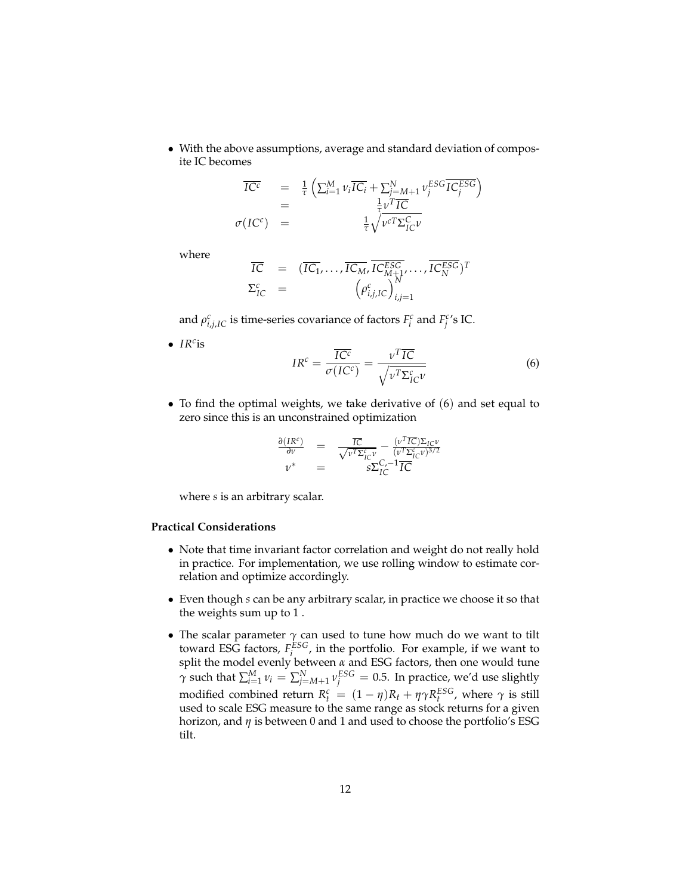• With the above assumptions, average and standard deviation of composite IC becomes

$$
\overline{IC^{c}} = \frac{1}{\tau} \left( \sum_{i=1}^{M} \nu_{i} \overline{IC_{i}} + \sum_{j=M+1}^{N} \nu_{j}^{ESG} \overline{IC_{j}^{ESG}} \right)
$$
\n
$$
= \frac{1}{\tau} \nu^{T} \overline{IC}
$$
\n
$$
\sigma(IC^{c}) = \frac{1}{\tau} \sqrt{\nu^{c} \Sigma_{IC}^{C} \nu}
$$

where

$$
\overline{IC} = (\overline{IC_1}, \dots, \overline{IC_M}, \overline{IC_{M+1}^{ESG}}, \dots, \overline{IC_N^{ESG}})^T
$$
  

$$
\Sigma_{IC}^c = (\rho_{i,j,IC}^c)_{i,j=1}^N
$$

and  $\rho_{i,j,IC}^c$  is time-series covariance of factors  $F_i^c$  and  $F_j^{c}$ 's IC.

• *IR<sup>c</sup>* is

$$
IR^{c} = \frac{\overline{IC^{c}}}{\sigma(IC^{c})} = \frac{\nu^{T}\overline{IC}}{\sqrt{\nu^{T}\Sigma_{IC}^{c}\nu}}
$$
(6)

• To find the optimal weights, we take derivative of (6) and set equal to zero since this is an unconstrained optimization

$$
\frac{\partial (IR^c)}{\partial v} = \frac{\overline{IC}}{\sqrt{v^T \Sigma_{IC}^c v}} - \frac{(v^T \overline{IC}) \Sigma_{IC} v}{(v^T \Sigma_{IC}^c v)^{3/2}}
$$
  

$$
v^* = s \Sigma_{IC}^{C, -1} \overline{IC}
$$

where *s* is an arbitrary scalar.

#### **Practical Considerations**

- Note that time invariant factor correlation and weight do not really hold in practice. For implementation, we use rolling window to estimate correlation and optimize accordingly.
- Even though *s* can be any arbitrary scalar, in practice we choose it so that the weights sum up to 1 .
- The scalar parameter *γ* can used to tune how much do we want to tilt toward ESG factors,  $F_i^{ESG}$ , in the portfolio. For example, if we want to split the model evenly between *α* and ESG factors, then one would tune *γ* such that  $\sum_{i=1}^{M} v_i = \sum_{j=M+1}^{N} v_j^{ESG} = 0.5$ . In practice, we'd use slightly modified combined return  $R_t^c = (1 - \eta)R_t + \eta \gamma R_t^{ESG}$ , where  $\gamma$  is still used to scale ESG measure to the same range as stock returns for a given horizon, and *η* is between 0 and 1 and used to choose the portfolio's ESG tilt.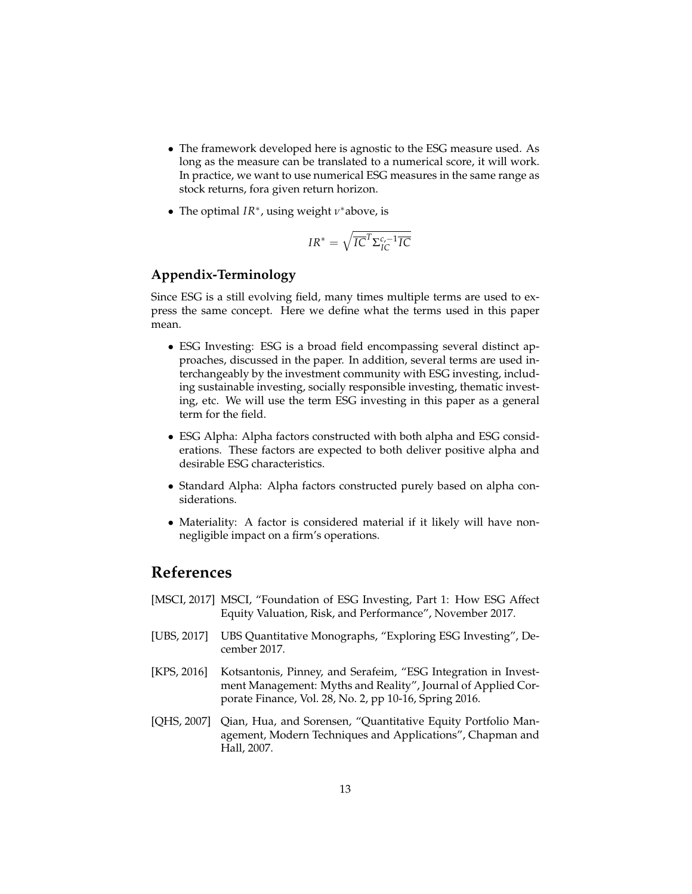- The framework developed here is agnostic to the ESG measure used. As long as the measure can be translated to a numerical score, it will work. In practice, we want to use numerical ESG measures in the same range as stock returns, fora given return horizon.
- The optimal *IR*<sup>∗</sup> , using weight *ν* <sup>∗</sup>above, is

$$
IR^* = \sqrt{IC}^T \Sigma_{IC}^{c,-1} \overline{IC}
$$

## **Appendix-Terminology**

Since ESG is a still evolving field, many times multiple terms are used to express the same concept. Here we define what the terms used in this paper mean.

- ESG Investing: ESG is a broad field encompassing several distinct approaches, discussed in the paper. In addition, several terms are used interchangeably by the investment community with ESG investing, including sustainable investing, socially responsible investing, thematic investing, etc. We will use the term ESG investing in this paper as a general term for the field.
- ESG Alpha: Alpha factors constructed with both alpha and ESG considerations. These factors are expected to both deliver positive alpha and desirable ESG characteristics.
- Standard Alpha: Alpha factors constructed purely based on alpha considerations.
- Materiality: A factor is considered material if it likely will have nonnegligible impact on a firm's operations.

# **References**

- [MSCI, 2017] MSCI, "Foundation of ESG Investing, Part 1: How ESG Affect Equity Valuation, Risk, and Performance", November 2017.
- [UBS, 2017] UBS Quantitative Monographs, "Exploring ESG Investing", December 2017.
- [KPS, 2016] Kotsantonis, Pinney, and Serafeim, "ESG Integration in Investment Management: Myths and Reality", Journal of Applied Corporate Finance, Vol. 28, No. 2, pp 10-16, Spring 2016.
- [QHS, 2007] Qian, Hua, and Sorensen, "Quantitative Equity Portfolio Management, Modern Techniques and Applications", Chapman and Hall, 2007.